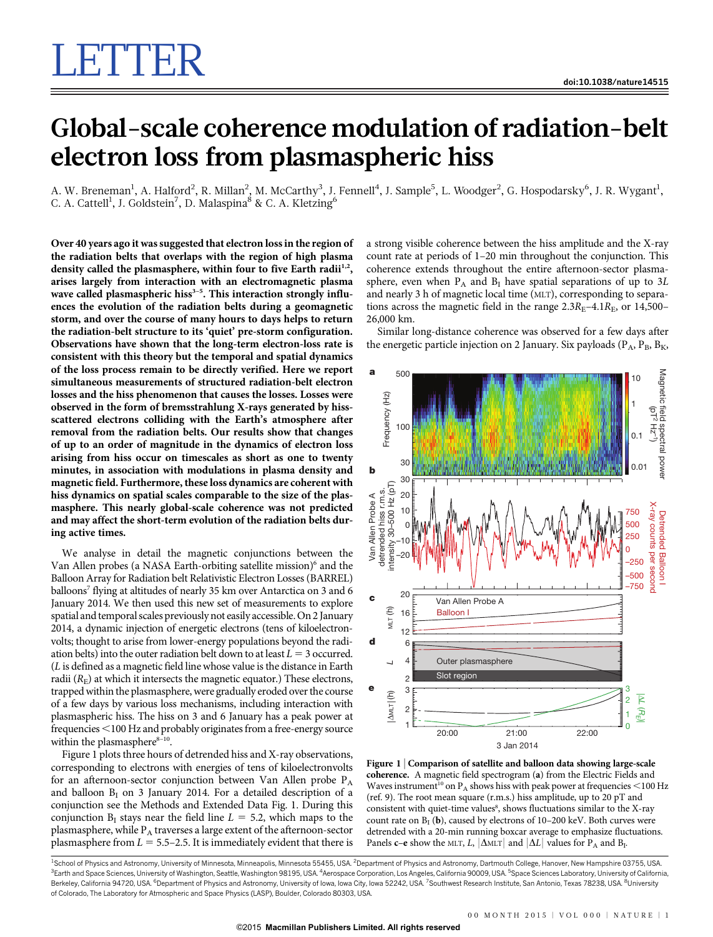## Global-scale coherence modulation of radiation-belt electron loss from plasmaspheric hiss

A. W. Breneman<sup>1</sup>, A. Halford<sup>2</sup>, R. Millan<sup>2</sup>, M. McCarthy<sup>3</sup>, J. Fennell<sup>4</sup>, J. Sample<sup>5</sup>, L. Woodger<sup>2</sup>, G. Hospodarsky<sup>6</sup>, J. R. Wygant<sup>1</sup>, C. A. Cattell<sup>1</sup>, J. Goldstein<sup>7</sup>, D. Malaspina<sup>8</sup> & C. A. Kletzing<sup>6</sup>

Over 40 years ago it was suggested that electron loss in the region of the radiation belts that overlaps with the region of high plasma density called the plasmasphere, within four to five Earth radii<sup>1,2</sup>, arises largely from interaction with an electromagnetic plasma wave called plasmaspheric hiss<sup>3-5</sup>. This interaction strongly influences the evolution of the radiation belts during a geomagnetic storm, and over the course of many hours to days helps to return the radiation-belt structure to its 'quiet' pre-storm configuration. Observations have shown that the long-term electron-loss rate is consistent with this theory but the temporal and spatial dynamics of the loss process remain to be directly verified. Here we report simultaneous measurements of structured radiation-belt electron losses and the hiss phenomenon that causes the losses. Losses were observed in the form of bremsstrahlung X-rays generated by hissscattered electrons colliding with the Earth's atmosphere after removal from the radiation belts. Our results show that changes of up to an order of magnitude in the dynamics of electron loss arising from hiss occur on timescales as short as one to twenty minutes, in association with modulations in plasma density and magnetic field. Furthermore, these loss dynamics are coherent with hiss dynamics on spatial scales comparable to the size of the plasmasphere. This nearly global-scale coherence was not predicted and may affect the short-term evolution of the radiation belts during active times.

We analyse in detail the magnetic conjunctions between the Van Allen probes (a NASA Earth-orbiting satellite mission)<sup>6</sup> and the Balloon Array for Radiation belt Relativistic Electron Losses (BARREL) balloons<sup>7</sup> flying at altitudes of nearly 35 km over Antarctica on 3 and 6 January 2014. We then used this new set of measurements to explore spatial and temporal scales previously not easily accessible. On 2 January 2014, a dynamic injection of energetic electrons (tens of kiloelectronvolts; thought to arise from lower-energy populations beyond the radiation belts) into the outer radiation belt down to at least  $L = 3$  occurred. (L is defined as a magnetic field line whose value is the distance in Earth radii  $(R<sub>E</sub>)$  at which it intersects the magnetic equator.) These electrons, trapped within the plasmasphere, were gradually eroded over the course of a few days by various loss mechanisms, including interaction with plasmaspheric hiss. The hiss on 3 and 6 January has a peak power at frequencies <100 Hz and probably originates from a free-energy source within the plasmasphere $8-10$ .

Figure 1 plots three hours of detrended hiss and X-ray observations, corresponding to electrons with energies of tens of kiloelectronvolts for an afternoon-sector conjunction between Van Allen probe  $P_A$ and balloon  $B<sub>I</sub>$  on 3 January 2014. For a detailed description of a conjunction see the Methods and Extended Data Fig. 1. During this conjunction  $B_I$  stays near the field line  $L = 5.2$ , which maps to the plasmasphere, while  $P_A$  traverses a large extent of the afternoon-sector plasmasphere from  $L = 5.5-2.5$ . It is immediately evident that there is a strong visible coherence between the hiss amplitude and the X-ray count rate at periods of 1–20 min throughout the conjunction. This coherence extends throughout the entire afternoon-sector plasmasphere, even when  $P_A$  and  $B_I$  have spatial separations of up to 3L and nearly 3 h of magnetic local time (MLT), corresponding to separations across the magnetic field in the range  $2.3R_E-4.1R_E$ , or 14,500– 26,000 km.

Similar long-distance coherence was observed for a few days after the energetic particle injection on 2 January. Six payloads ( $P_A$ ,  $P_B$ ,  $B_K$ ,



Figure 1 <sup>|</sup> Comparison of satellite and balloon data showing large-scale coherence. A magnetic field spectrogram (a) from the Electric Fields and Waves instrument<sup>10</sup> on  $P_A$  shows hiss with peak power at frequencies <100 Hz (ref. 9). The root mean square (r.m.s.) hiss amplitude, up to 20 pT and consistent with quiet-time values<sup>8</sup>, shows fluctuations similar to the X-ray count rate on  $B_I$  (b), caused by electrons of 10–200 keV. Both curves were detrended with a 20-min running boxcar average to emphasize fluctuations. Panels c–e show the MLT, L,  $|\Delta M|$  and  $|\Delta L|$  values for P<sub>A</sub> and B<sub>I</sub>.

<sup>1</sup>School of Physics and Astronomy, University of Minnesota, Minneapolis, Minnesota 55455, USA. <sup>2</sup>Department of Physics and Astronomy, Dartmouth College, Hanover, New Hampshire 03755, USA <sup>3</sup>Earth and Space Sciences, University of Washington, Seattle, Washington 98195, USA. <sup>4</sup>Aerospace Corporation, Los Angeles, California 90009, USA. <sup>5</sup>Space Sciences Laboratory, University of California Berkeley, California 94720, USA. <sup>6</sup>Department of Physics and Astronomy, University of Iowa, Iowa City, Iowa 52242, USA. <sup>7</sup>Southwest Research Institute, San Antonio, Texas 78238, USA. <sup>8</sup>University of Colorado, The Laboratory for Atmospheric and Space Physics (LASP), Boulder, Colorado 80303, USA.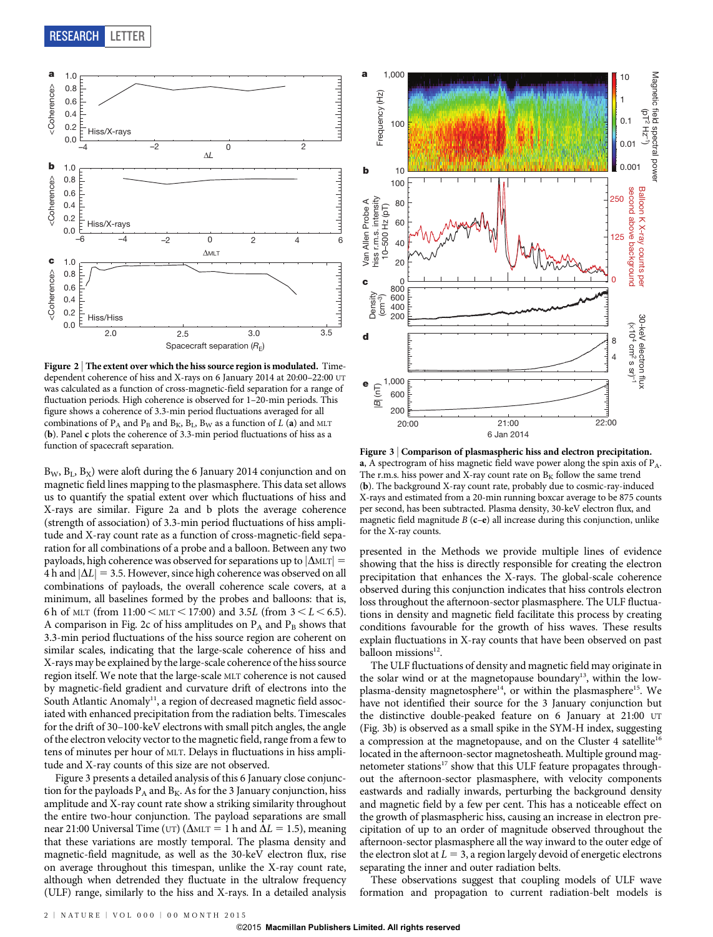

Figure 2 | The extent over which the hiss source region is modulated. Timedependent coherence of hiss and X-rays on 6 January 2014 at 20:00–22:00 UT was calculated as a function of cross-magnetic-field separation for a range of fluctuation periods. High coherence is observed for 1–20-min periods. This figure shows a coherence of 3.3-min period fluctuations averaged for all combinations of  $P_A$  and  $P_B$  and  $B_K$ ,  $B_L$ ,  $B_W$  as a function of L (a) and MLT (b). Panel c plots the coherence of 3.3-min period fluctuations of hiss as a function of spacecraft separation.

 $B_W$ ,  $B_I$ ,  $B_X$ ) were aloft during the 6 January 2014 conjunction and on magnetic field lines mapping to the plasmasphere. This data set allows us to quantify the spatial extent over which fluctuations of hiss and X-rays are similar. Figure 2a and b plots the average coherence (strength of association) of 3.3-min period fluctuations of hiss amplitude and X-ray count rate as a function of cross-magnetic-field separation for all combinations of a probe and a balloon. Between any two payloads, high coherence was observed for separations up to  $|\Delta MLT|$  = 4 h and  $|\Delta L|$  = 3.5. However, since high coherence was observed on all combinations of payloads, the overall coherence scale covers, at a minimum, all baselines formed by the probes and balloons: that is, 6 h of MLT (from  $11:00 \leq MLT \leq 17:00$ ) and 3.5L (from  $3 \leq L \leq 6.5$ ). A comparison in Fig. 2c of hiss amplitudes on  $P_A$  and  $P_B$  shows that 3.3-min period fluctuations of the hiss source region are coherent on similar scales, indicating that the large-scale coherence of hiss and X-rays may be explained by the large-scale coherence of the hiss source region itself. We note that the large-scale MLT coherence is not caused by magnetic-field gradient and curvature drift of electrons into the South Atlantic Anomaly<sup>11</sup>, a region of decreased magnetic field associated with enhanced precipitation from the radiation belts. Timescales for the drift of 30–100-keV electrons with small pitch angles, the angle of the electron velocity vector to the magnetic field, range from a few to tens of minutes per hour of MLT. Delays in fluctuations in hiss amplitude and X-ray counts of this size are not observed.

Figure 3 presents a detailed analysis of this 6 January close conjunction for the payloads  $P_A$  and  $B_K$ . As for the 3 January conjunction, hiss amplitude and X-ray count rate show a striking similarity throughout the entire two-hour conjunction. The payload separations are small near 21:00 Universal Time (UT) ( $\Delta$ MLT = 1 h and  $\Delta L$  = 1.5), meaning that these variations are mostly temporal. The plasma density and magnetic-field magnitude, as well as the 30-keV electron flux, rise on average throughout this timespan, unlike the X-ray count rate, although when detrended they fluctuate in the ultralow frequency (ULF) range, similarly to the hiss and X-rays. In a detailed analysis



Figure 3 | Comparison of plasmaspheric hiss and electron precipitation. a, A spectrogram of hiss magnetic field wave power along the spin axis of  $P_A$ . The r.m.s. hiss power and X-ray count rate on  $B_K$  follow the same trend (b). The background X-ray count rate, probably due to cosmic-ray-induced X-rays and estimated from a 20-min running boxcar average to be 875 counts per second, has been subtracted. Plasma density, 30-keV electron flux, and magnetic field magnitude  $B$  (c–e) all increase during this conjunction, unlike for the X-ray counts.

presented in the Methods we provide multiple lines of evidence showing that the hiss is directly responsible for creating the electron precipitation that enhances the X-rays. The global-scale coherence observed during this conjunction indicates that hiss controls electron loss throughout the afternoon-sector plasmasphere. The ULF fluctuations in density and magnetic field facilitate this process by creating conditions favourable for the growth of hiss waves. These results explain fluctuations in X-ray counts that have been observed on past balloon missions<sup>12</sup>.

The ULF fluctuations of density and magnetic field may originate in the solar wind or at the magnetopause boundary<sup>13</sup>, within the lowplasma-density magnetosphere<sup>14</sup>, or within the plasmasphere<sup>15</sup>. We have not identified their source for the 3 January conjunction but the distinctive double-peaked feature on 6 January at 21:00 UT (Fig. 3b) is observed as a small spike in the SYM-H index, suggesting a compression at the magnetopause, and on the Cluster 4 satellite<sup>16</sup> located in the afternoon-sector magnetosheath. Multiple ground magnetometer stations<sup>17</sup> show that this ULF feature propagates throughout the afternoon-sector plasmasphere, with velocity components eastwards and radially inwards, perturbing the background density and magnetic field by a few per cent. This has a noticeable effect on the growth of plasmaspheric hiss, causing an increase in electron precipitation of up to an order of magnitude observed throughout the afternoon-sector plasmasphere all the way inward to the outer edge of the electron slot at  $L = 3$ , a region largely devoid of energetic electrons separating the inner and outer radiation belts.

These observations suggest that coupling models of ULF wave formation and propagation to current radiation-belt models is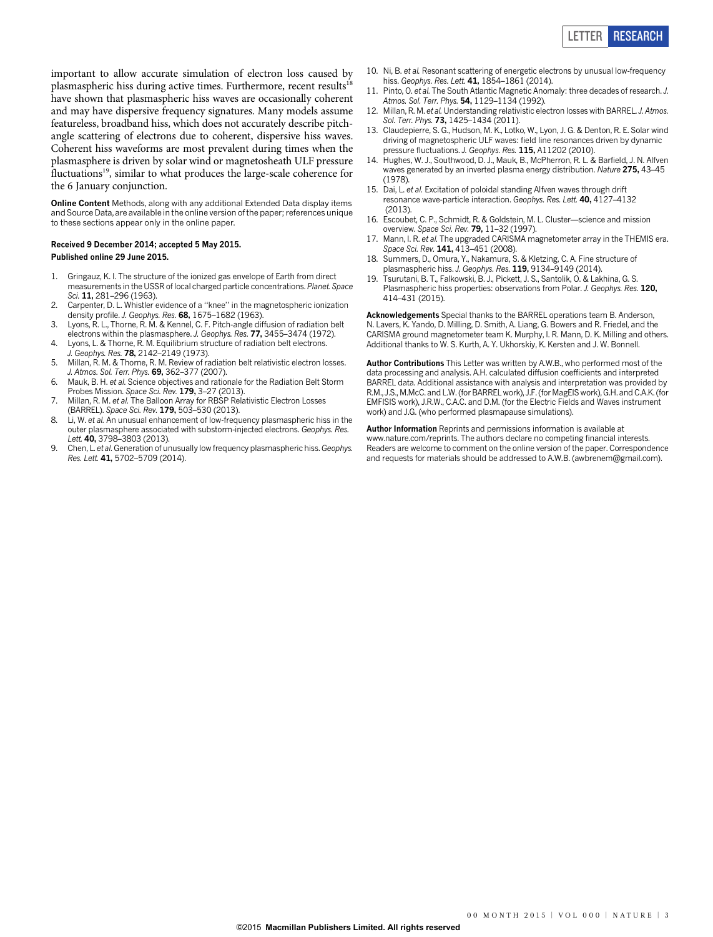important to allow accurate simulation of electron loss caused by plasmaspheric hiss during active times. Furthermore, recent results<sup>18</sup> have shown that plasmaspheric hiss waves are occasionally coherent and may have dispersive frequency signatures. Many models assume featureless, broadband hiss, which does not accurately describe pitchangle scattering of electrons due to coherent, dispersive hiss waves. Coherent hiss waveforms are most prevalent during times when the plasmasphere is driven by solar wind or magnetosheath ULF pressure fluctuations<sup>19</sup>, similar to what produces the large-scale coherence for the 6 January conjunction.

Online Content Methods, along with any additional Extended Data display items and Source Data, are available in the [online version of the paper](www.nature.com/doifinder/10.1038/nature14515); references unique to these sections appear only in the online paper.

## Received 9 December 2014; accepted 5 May 2015. Published online 29 June 2015.

- 1. Gringauz, K. I. The structure of the ionized gas envelope of Earth from direct measurements in the USSR of local charged particle concentrations. Planet. Space Sci. 11, 281-296 (1963).
- 2. Carpenter, D. L. Whistler evidence of a ''knee'' in the magnetospheric ionization density profile. J. Geophys. Res. 68, 1675–1682 (1963).
- 3. Lyons, R. L., Thorne, R. M. & Kennel, C. F. Pitch-angle diffusion of radiation belt electrons within the plasmasphere. J. Geophys. Res. 77, 3455–3474 (1972).
- 4. Lyons, L. & Thorne, R. M. Equilibrium structure of radiation belt electrons. J. Geophys. Res. **78**, 2142-2149 (1973).
- 5. Millan, R. M. & Thorne, R. M. Review of radiation belt relativistic electron losses. J. Atmos. Sol. Terr. Phys. 69, 362–377 (2007).
- 6. Mauk, B. H. et al. Science objectives and rationale for the Radiation Belt Storm Probes Mission. Space Sci. Rev. 179, 3-27 (2013).
- 7. Millan, R. M. et al. The Balloon Array for RBSP Relativistic Electron Losses (BARREL). Space Sci. Rev. 179, 503–530 (2013).
- 8. Li, W. et al. An unusual enhancement of low-frequency plasmaspheric hiss in the outer plasmasphere associated with substorm-injected electrons. Geophys. Res. Lett. 40, 3798-3803 (2013).
- 9. Chen, L. et al. Generation of unusually low frequency plasmaspheric hiss. Geophys. Res. Lett. 41, 5702–5709 (2014).
- 10. Ni, B. et al. Resonant scattering of energetic electrons by unusual low-frequency hiss. Geophys. Res. Lett. 41, 1854-1861 (2014).
- 11. Pinto, O. et al. The South Atlantic Magnetic Anomaly: three decades of research. J. Atmos. Sol. Terr. Phys. 54, 1129-1134 (1992).
- 12. Millan, R. M. et al. Understanding relativistic electron losses with BARREL. J. Atmos. Sol. Terr. Phys. 73, 1425-1434 (2011).
- 13. Claudepierre, S. G., Hudson, M. K., Lotko, W., Lyon, J. G. & Denton, R. E. Solar wind driving of magnetospheric ULF waves: field line resonances driven by dynamic pressure fluctuations. J. Geophys. Res. 115, A11202 (2010).
- 14. Hughes, W. J., Southwood, D. J., Mauk, B., McPherron, R. L. & Barfield, J. N. Alfven waves generated by an inverted plasma energy distribution. Nature 275, 43-45 (1978).
- 15. Dai, L. et al. Excitation of poloidal standing Alfven waves through drift resonance wave-particle interaction. Geophys. Res. Lett. 40, 4127–4132 (2013).
- 16. Escoubet, C. P., Schmidt, R. & Goldstein, M. L. Cluster—science and mission overview. Space Sci. Rev. 79, 11–32 (1997).
- 17. Mann, I. R. et al. The upgraded CARISMA magnetometer array in the THEMIS era. Space Sci. Rev. 141, 413-451 (2008).
- 18. Summers, D., Omura, Y., Nakamura, S. & Kletzing, C. A. Fine structure of plasmaspheric hiss. J. Geophys. Res. 119, 9134–9149 (2014).
- 19. Tsurutani, B. T., Falkowski, B. J., Pickett, J. S., Santolik, O. & Lakhina, G. S. Plasmaspheric hiss properties: observations from Polar. J. Geophys. Res. 120, 414–431 (2015).

Acknowledgements Special thanks to the BARREL operations team B. Anderson, N. Lavers, K. Yando, D. Milling, D. Smith, A. Liang, G. Bowers and R. Friedel, and the CARISMA ground magnetometer team K. Murphy, I. R. Mann, D. K. Milling and others. Additional thanks to W. S. Kurth, A. Y. Ukhorskiy, K. Kersten and J. W. Bonnell.

Author Contributions This Letter was written by A.W.B., who performed most of the data processing and analysis. A.H. calculated diffusion coefficients and interpreted BARREL data. Additional assistance with analysis and interpretation was provided by R.M., J.S., M.McC. and L.W. (for BARREL work), J.F. (for MagEIS work), G.H. and C.A.K. (for EMFISIS work), J.R.W., C.A.C. and D.M. (for the Electric Fields and Waves instrument work) and J.G. (who performed plasmapause simulations).

Author Information Reprints and permissions information is available at [www.nature.com/reprints.](www.nature.com/reprints) The authors declare no competing financial interests. Readers are welcome to comment on the [online version of the paper](www.nature.com/doifinder/10.1038/nature14515). Correspondence and requests for materials should be addressed to A.W.B. [\(awbrenem@gmail.com\).](mailto:awbrenem@gmail.com)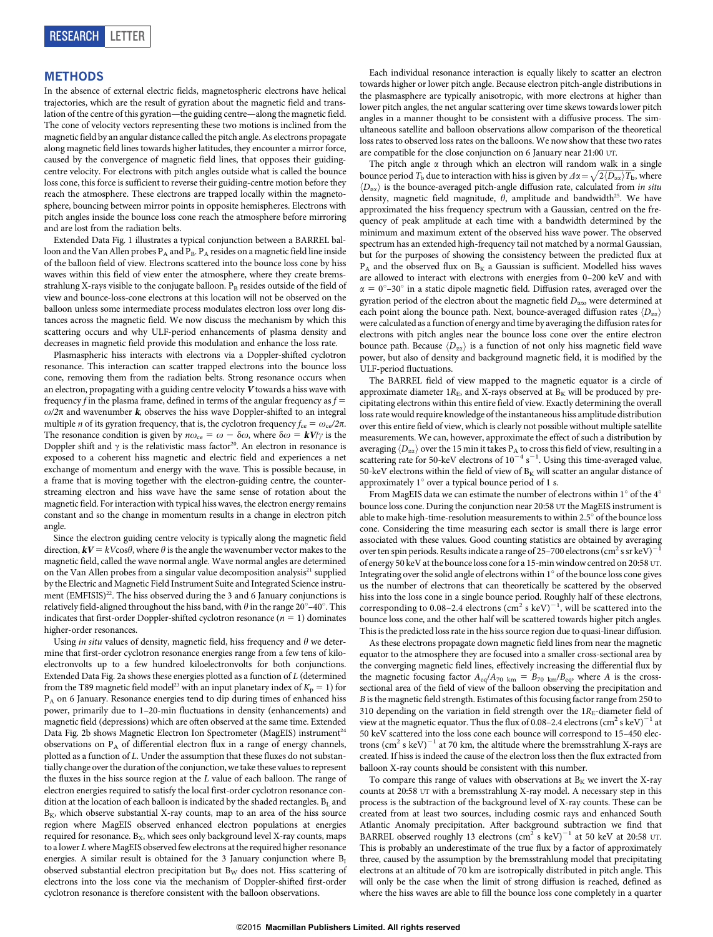## METHODS

In the absence of external electric fields, magnetospheric electrons have helical trajectories, which are the result of gyration about the magnetic field and translation of the centre of this gyration—the guiding centre—along the magnetic field. The cone of velocity vectors representing these two motions is inclined from the magnetic field by an angular distance called the pitch angle. As electrons propagate along magnetic field lines towards higher latitudes, they encounter a mirror force, caused by the convergence of magnetic field lines, that opposes their guidingcentre velocity. For electrons with pitch angles outside what is called the bounce loss cone, this force is sufficient to reverse their guiding-centre motion before they reach the atmosphere. These electrons are trapped locally within the magnetosphere, bouncing between mirror points in opposite hemispheres. Electrons with pitch angles inside the bounce loss cone reach the atmosphere before mirroring and are lost from the radiation belts.

Extended Data Fig. 1 illustrates a typical conjunction between a BARREL balloon and the Van Allen probes  $P_A$  and  $P_B$ .  $P_A$  resides on a magnetic field line inside of the balloon field of view. Electrons scattered into the bounce loss cone by hiss waves within this field of view enter the atmosphere, where they create bremsstrahlung X-rays visible to the conjugate balloon. PB resides outside of the field of view and bounce-loss-cone electrons at this location will not be observed on the balloon unless some intermediate process modulates electron loss over long distances across the magnetic field. We now discuss the mechanism by which this scattering occurs and why ULF-period enhancements of plasma density and decreases in magnetic field provide this modulation and enhance the loss rate.

Plasmaspheric hiss interacts with electrons via a Doppler-shifted cyclotron resonance. This interaction can scatter trapped electrons into the bounce loss cone, removing them from the radiation belts. Strong resonance occurs when an electron, propagating with a guiding centre velocity <sup>V</sup> towards a hiss wave with frequency f in the plasma frame, defined in terms of the angular frequency as  $f =$  $\omega/2\pi$  and wavenumber k, observes the hiss wave Doppler-shifted to an integral multiple *n* of its gyration frequency, that is, the cyclotron frequency  $f_{ce} = \omega_{ce}/2\pi$ . The resonance condition is given by  $n\omega_{ce} = \omega - \delta\omega$ , where  $\delta\omega = kV/\gamma$  is the Doppler shift and  $\gamma$  is the relativistic mass factor<sup>20</sup>. An electron in resonance is exposed to a coherent hiss magnetic and electric field and experiences a net exchange of momentum and energy with the wave. This is possible because, in a frame that is moving together with the electron-guiding centre, the counterstreaming electron and hiss wave have the same sense of rotation about the magnetic field. For interaction with typical hiss waves, the electron energy remains constant and so the change in momentum results in a change in electron pitch angle.

Since the electron guiding centre velocity is typically along the magnetic field direction,  $kV = kV\cos\theta$ , where  $\theta$  is the angle the wavenumber vector makes to the magnetic field, called the wave normal angle. Wave normal angles are determined on the Van Allen probes from a singular value decomposition analysis<sup>21</sup> supplied by the Electric and Magnetic Field Instrument Suite and Integrated Science instrument (EMFISIS)<sup>22</sup>. The hiss observed during the 3 and 6 January conjunctions is relatively field-aligned throughout the hiss band, with  $\theta$  in the range 20°-40°. This indicates that first-order Doppler-shifted cyclotron resonance ( $n = 1$ ) dominates higher-order resonances.

Using in situ values of density, magnetic field, hiss frequency and  $\theta$  we determine that first-order cyclotron resonance energies range from a few tens of kiloelectronvolts up to a few hundred kiloelectronvolts for both conjunctions. Extended Data Fig. 2a shows these energies plotted as a function of L (determined from the T89 magnetic field model<sup>23</sup> with an input planetary index of  $K_p = 1$ ) for P<sub>A</sub> on 6 January. Resonance energies tend to dip during times of enhanced hiss power, primarily due to 1–20-min fluctuations in density (enhancements) and magnetic field (depressions) which are often observed at the same time. Extended Data Fig. 2b shows Magnetic Electron Ion Spectrometer (MagEIS) instrument<sup>24</sup> observations on PA of differential electron flux in a range of energy channels, plotted as a function of L. Under the assumption that these fluxes do not substantially change over the duration of the conjunction, we take these values to represent the fluxes in the hiss source region at the L value of each balloon. The range of electron energies required to satisfy the local first-order cyclotron resonance condition at the location of each balloon is indicated by the shaded rectangles.  $B_L$  and  $B<sub>K</sub>$ , which observe substantial X-ray counts, map to an area of the hiss source region where MagEIS observed enhanced electron populations at energies required for resonance.  $B_X$ , which sees only background level X-ray counts, maps to a lower Lwhere MagEIS observed few electrons at the required higher resonance energies. A similar result is obtained for the 3 January conjunction where  $B<sub>I</sub>$ observed substantial electron precipitation but  $B_W$  does not. Hiss scattering of electrons into the loss cone via the mechanism of Doppler-shifted first-order cyclotron resonance is therefore consistent with the balloon observations.

Each individual resonance interaction is equally likely to scatter an electron towards higher or lower pitch angle. Because electron pitch-angle distributions in the plasmasphere are typically anisotropic, with more electrons at higher than lower pitch angles, the net angular scattering over time skews towards lower pitch angles in a manner thought to be consistent with a diffusive process. The simultaneous satellite and balloon observations allow comparison of the theoretical loss rates to observed loss rates on the balloons. We now show that these two rates are compatible for the close conjunction on 6 January near 21:00 UT.

The pitch angle  $\alpha$  through which an electron will random walk in a single bounce period  $T_b$  due to interaction with hiss is given by  $\Delta \alpha = \sqrt{2 \langle D_{\alpha \alpha} \rangle T_b}$ , where  $\langle D_{\alpha\alpha} \rangle$  is the bounce-averaged pitch-angle diffusion rate, calculated from in situ density, magnetic field magnitude,  $\theta$ , amplitude and bandwidth<sup>25</sup>. We have approximated the hiss frequency spectrum with a Gaussian, centred on the frequency of peak amplitude at each time with a bandwidth determined by the minimum and maximum extent of the observed hiss wave power. The observed spectrum has an extended high-frequency tail not matched by a normal Gaussian, but for the purposes of showing the consistency between the predicted flux at  $P_A$  and the observed flux on  $B_K$  a Gaussian is sufficient. Modelled hiss waves are allowed to interact with electrons with energies from 0–200 keV and with  $\alpha = 0^{\circ}-30^{\circ}$  in a static dipole magnetic field. Diffusion rates, averaged over the gyration period of the electron about the magnetic field  $D_{\alpha\alpha}$ , were determined at each point along the bounce path. Next, bounce-averaged diffusion rates  $\langle D_{\alpha\alpha} \rangle$ were calculated as a function of energy and time by averaging the diffusion ratesfor electrons with pitch angles near the bounce loss cone over the entire electron bounce path. Because  $\langle D_{\alpha\alpha} \rangle$  is a function of not only hiss magnetic field wave power, but also of density and background magnetic field, it is modified by the ULF-period fluctuations.

The BARREL field of view mapped to the magnetic equator is a circle of approximate diameter  $1R_E$ , and X-rays observed at  $B_K$  will be produced by precipitating electrons within this entire field of view. Exactly determining the overall loss rate would require knowledge of the instantaneous hiss amplitude distribution over this entire field of view, which is clearly not possible without multiple satellite measurements. We can, however, approximate the effect of such a distribution by averaging  $\langle D_{\alpha\alpha} \rangle$  over the 15 min it takes P<sub>A</sub> to cross this field of view, resulting in a scattering rate for 50-keV electrons of  $10^{-4}$  s<sup>-1</sup>. Using this time-averaged value, 50-keV electrons within the field of view of  $B_K$  will scatter an angular distance of approximately  $1^{\circ}$  over a typical bounce period of 1 s.

From MagEIS data we can estimate the number of electrons within 1 $^{\circ}$  of the 4 $^{\circ}$ bounce loss cone. During the conjunction near 20:58 UT the MagEIS instrument is able to make high-time-resolution measurements to within 2.5 $^{\circ}$  of the bounce loss cone. Considering the time measuring each sector is small there is large error associated with these values. Good counting statistics are obtained by averaging over ten spin periods. Results indicate a range of 25–700 electrons  $(cm<sup>2</sup> s s r keV)$ of energy 50 keV at the bounce loss cone for a 15-min window centred on 20:58 UT. Integrating over the solid angle of electrons within  $1^\circ$  of the bounce loss cone gives us the number of electrons that can theoretically be scattered by the observed hiss into the loss cone in a single bounce period. Roughly half of these electrons, corresponding to 0.08-2.4 electrons  $\left(\text{cm}^2 \text{ s keV}\right)^{-1}$ , will be scattered into the bounce loss cone, and the other half will be scattered towards higher pitch angles. This is the predicted loss rate in the hiss source region due to quasi-linear diffusion.

As these electrons propagate down magnetic field lines from near the magnetic equator to the atmosphere they are focused into a smaller cross-sectional area by the converging magnetic field lines, effectively increasing the differential flux by the magnetic focusing factor  $A_{eq}/A_{70 \text{ km}} = B_{70 \text{ km}}/B_{eq}$ , where A is the crosssectional area of the field of view of the balloon observing the precipitation and B is the magnetic field strength. Estimates of this focusing factor range from 250 to 310 depending on the variation in field strength over the  $1R<sub>E</sub>$ -diameter field of view at the magnetic equator. Thus the flux of  $0.08-2.4$  electrons  $\text{(cm}^2 \text{ s keV})^{-1}$  at 50 keV scattered into the loss cone each bounce will correspond to 15–450 electrons  $(cm<sup>2</sup> s keV)<sup>-1</sup>$  at 70 km, the altitude where the bremsstrahlung X-rays are created. If hiss is indeed the cause of the electron loss then the flux extracted from balloon X-ray counts should be consistent with this number.

To compare this range of values with observations at  $B_K$  we invert the X-ray counts at 20:58 UT with a bremsstrahlung X-ray model. A necessary step in this process is the subtraction of the background level of X-ray counts. These can be created from at least two sources, including cosmic rays and enhanced South Atlantic Anomaly precipitation. After background subtraction we find that BARREL observed roughly 13 electrons  $\text{cm}^2$  s keV)<sup>-1</sup> at 50 keV at 20:58 UT. This is probably an underestimate of the true flux by a factor of approximately three, caused by the assumption by the bremsstrahlung model that precipitating electrons at an altitude of 70 km are isotropically distributed in pitch angle. This will only be the case when the limit of strong diffusion is reached, defined as where the hiss waves are able to fill the bounce loss cone completely in a quarter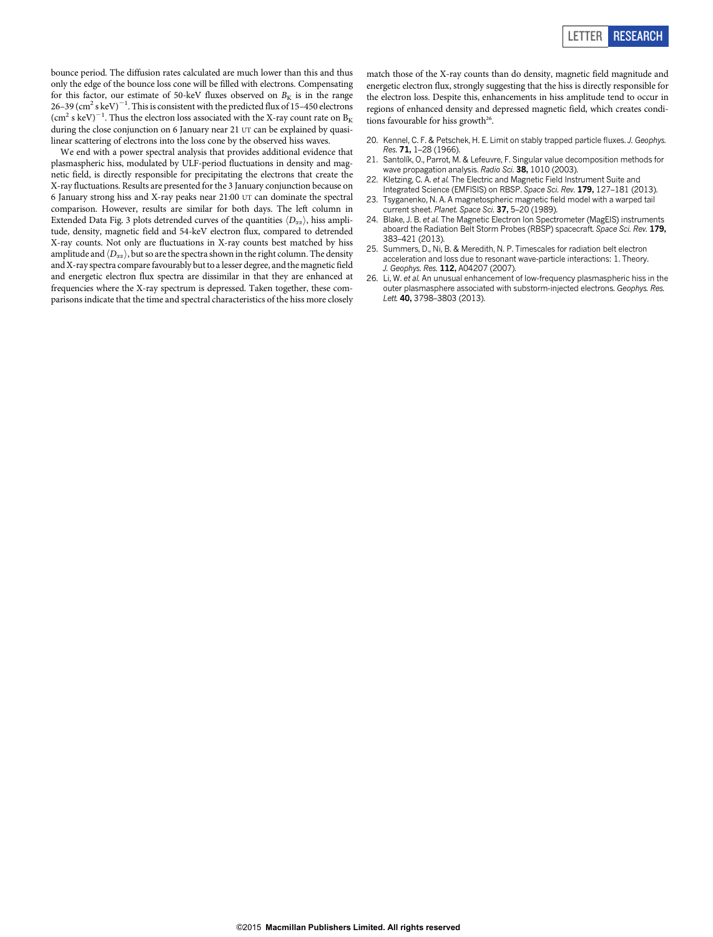bounce period. The diffusion rates calculated are much lower than this and thus only the edge of the bounce loss cone will be filled with electrons. Compensating for this factor, our estimate of 50-keV fluxes observed on  $B_K$  is in the range 26–39 (cm<sup>2</sup> s keV) $^{-1}$ . This is consistent with the predicted flux of 15–450 electrons  $\rm{(cm^2\,s\,keV)}^{-1}.$  Thus the electron loss associated with the X-ray count rate on  $\rm{B_{K}}$ during the close conjunction on 6 January near 21 UT can be explained by quasilinear scattering of electrons into the loss cone by the observed hiss waves.

We end with a power spectral analysis that provides additional evidence that plasmaspheric hiss, modulated by ULF-period fluctuations in density and magnetic field, is directly responsible for precipitating the electrons that create the X-ray fluctuations. Results are presented for the 3 January conjunction because on 6 January strong hiss and X-ray peaks near 21:00 UT can dominate the spectral comparison. However, results are similar for both days. The left column in Extended Data Fig. 3 plots detrended curves of the quantities  $\langle D_{\alpha\alpha} \rangle$ , hiss amplitude, density, magnetic field and 54-keV electron flux, compared to detrended X-ray counts. Not only are fluctuations in X-ray counts best matched by hiss amplitude and  $\langle D_{\alpha\alpha} \rangle$ , but so are the spectra shown in the right column. The density and X-ray spectra compare favourably but to a lesser degree, and the magnetic field and energetic electron flux spectra are dissimilar in that they are enhanced at frequencies where the X-ray spectrum is depressed. Taken together, these comparisons indicate that the time and spectral characteristics of the hiss more closely

match those of the X-ray counts than do density, magnetic field magnitude and energetic electron flux, strongly suggesting that the hiss is directly responsible for the electron loss. Despite this, enhancements in hiss amplitude tend to occur in regions of enhanced density and depressed magnetic field, which creates conditions favourable for hiss growth<sup>26</sup>.

- 20. Kennel, C. F. & Petschek, H. E. Limit on stably trapped particle fluxes. J. Geophys. Res. 71, 1–28 (1966).
- 21. Santolík, O., Parrot, M. & Lefeuvre, F. Singular value decomposition methods for wave propagation analysis. Radio Sci. 38, 1010 (2003).
- 22. Kletzing, C. A. et al. The Electric and Magnetic Field Instrument Suite and Integrated Science (EMFISIS) on RBSP. Space Sci. Rev. 179, 127-181 (2013).
- 23. Tsyganenko, N. A. A magnetospheric magnetic field model with a warped tail current sheet. Planet. Space Sci. 37, 5-20 (1989).
- 24. Blake, J. B. et al. The Magnetic Electron Ion Spectrometer (MagEIS) instruments aboard the Radiation Belt Storm Probes (RBSP) spacecraft. Space Sci. Rev. 179, 383–421 (2013).
- 25. Summers, D., Ni, B. & Meredith, N. P. Timescales for radiation belt electron acceleration and loss due to resonant wave-particle interactions: 1. Theory. J. Geophys. Res. 112, A04207 (2007).
- 26. Li, W. et al. An unusual enhancement of low-frequency plasmaspheric hiss in the outer plasmasphere associated with substorm-injected electrons. Geophys. Res. Lett. 40, 3798-3803 (2013).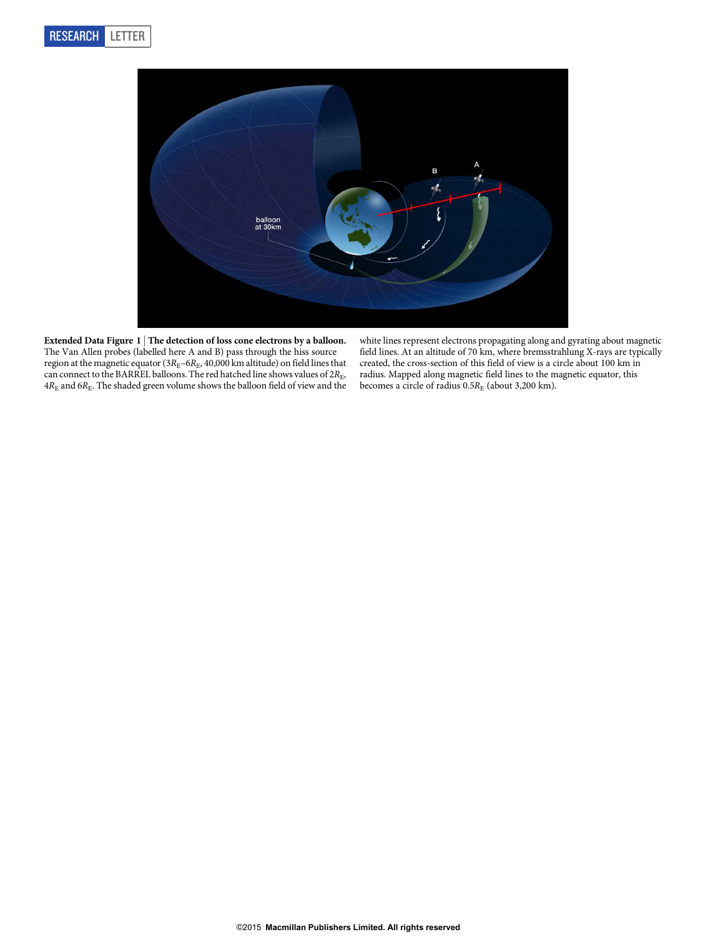

Extended Data Figure 1 | The detection of loss cone electrons by a balloon. The Van Allen probes (labelled here A and B) pass through the hiss source region at the magnetic equator ( $3R_E-6R_E$ , 40,000 km altitude) on field lines that can connect to the BARREL balloons. The red hatched line shows values of  $2R_{\rm E}$ ,  $4R<sub>E</sub>$  and  $6R<sub>E</sub>$ . The shaded green volume shows the balloon field of view and the

white lines represent electrons propagating along and gyrating about magnetic field lines. At an altitude of 70 km, where bremsstrahlung X-rays are typically created, the cross-section of this field of view is a circle about 100 km in radius. Mapped along magnetic field lines to the magnetic equator, this becomes a circle of radius  $0.5R_E$  (about 3,200 km).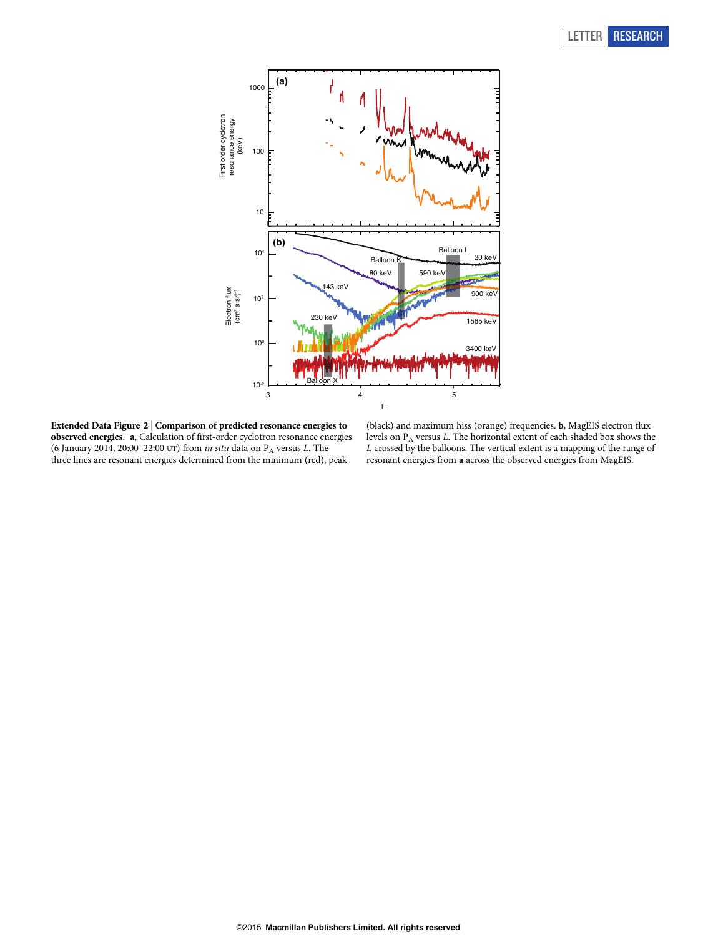## LETTER RESEARCH



Extended Data Figure 2 <sup>|</sup> Comparison of predicted resonance energies to observed energies. a, Calculation of first-order cyclotron resonance energies (6 January 2014, 20:00-22:00 UT) from in situ data on  $P_A$  versus L. The three lines are resonant energies determined from the minimum (red), peak

(black) and maximum hiss (orange) frequencies. b, MagEIS electron flux levels on PA versus L. The horizontal extent of each shaded box shows the L crossed by the balloons. The vertical extent is a mapping of the range of resonant energies from a across the observed energies from MagEIS.